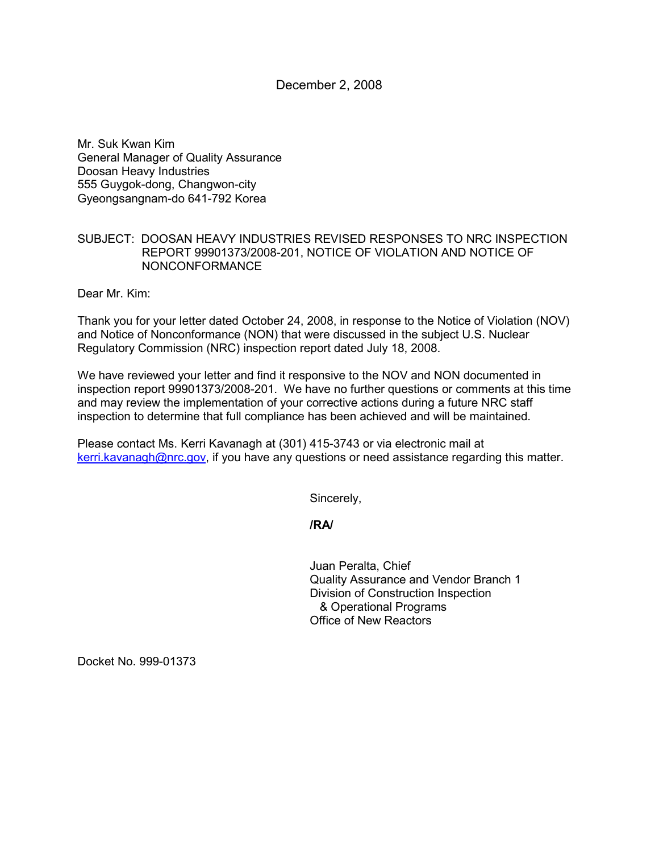December 2, 2008

Mr. Suk Kwan Kim General Manager of Quality Assurance Doosan Heavy Industries 555 Guygok-dong, Changwon-city Gyeongsangnam-do 641-792 Korea

## SUBJECT: DOOSAN HEAVY INDUSTRIES REVISED RESPONSES TO NRC INSPECTION REPORT 99901373/2008-201, NOTICE OF VIOLATION AND NOTICE OF NONCONFORMANCE

Dear Mr. Kim:

Thank you for your letter dated October 24, 2008, in response to the Notice of Violation (NOV) and Notice of Nonconformance (NON) that were discussed in the subject U.S. Nuclear Regulatory Commission (NRC) inspection report dated July 18, 2008.

We have reviewed your letter and find it responsive to the NOV and NON documented in inspection report 99901373/2008-201. We have no further questions or comments at this time and may review the implementation of your corrective actions during a future NRC staff inspection to determine that full compliance has been achieved and will be maintained.

Please contact Ms. Kerri Kavanagh at (301) 415-3743 or via electronic mail at kerri.kavanagh@nrc.gov, if you have any questions or need assistance regarding this matter.

Sincerely,

**/RA/** 

Juan Peralta, Chief Quality Assurance and Vendor Branch 1 Division of Construction Inspection & Operational Programs Office of New Reactors

Docket No. 999-01373